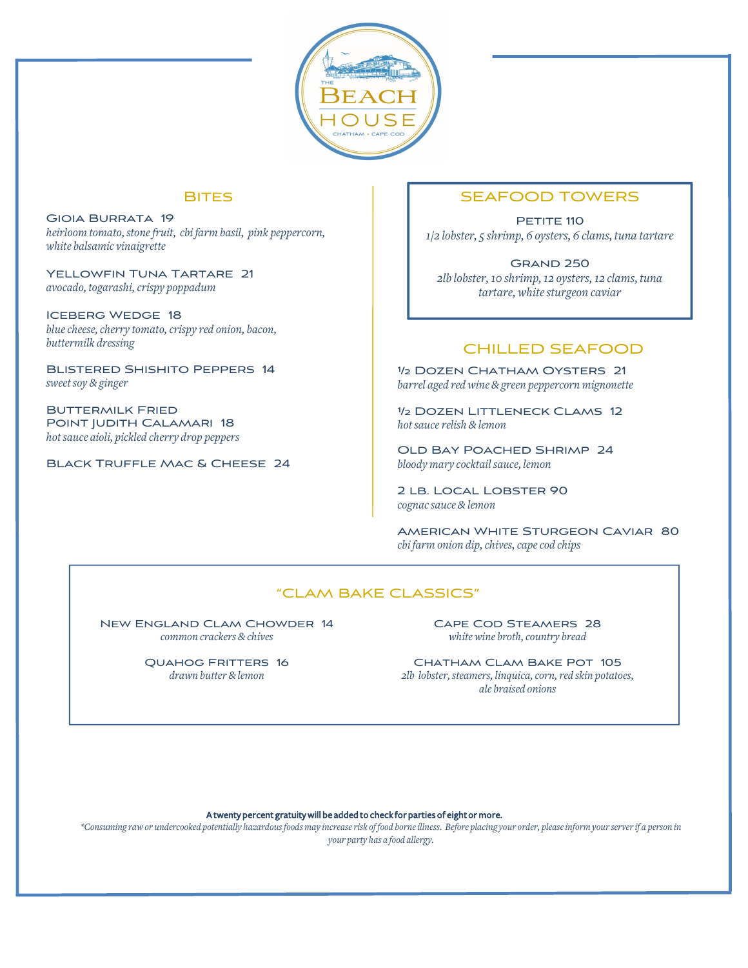

### **BITES**

Gioia Burrata 19 *heirloom tomato,stonefruit, cbi farm basil, pink peppercorn, white balsamic vinaigrette*

Yellowfin Tuna Tartare 21 *avocado, togarashi,crispy poppadum*

Iceberg Wedge 18 *bluecheese,cherry tomato,crispy red onion, bacon, buttermilk dressing*

Blistered Shishito Peppers 14 *sweetsoy & ginger*

Buttermilk Fried Point Judith Calamari 18 *hotsauce aioli, pickled cherry drop peppers*

Black Truffle Mac & Cheese 24

### SEAFOOD TOWERS

PETITE 110 *1/2 lobster, 5 shrimp, 6 oysters, 6 clams, tuna tartare*

Grand 250 *2lb lobster,10 shrimp,12 oysters,12 clams, tuna tartare,whitesturgeon caviar*

# CHILLED SEAFOOD

½ Dozen Chatham Oysters 21 *barrel aged red wine & green peppercorn mignonette*

½ Dozen Littleneck Clams 12 *hotsaucerelish & lemon*

Old Bay Poached Shrimp 24 *bloody mary cocktail sauce, lemon*

2 LB. LOCAL LOBSTER 90 *cognacsauce & lemon*

American White Sturgeon Caviar 80 *cbi farm onion dip,chives,capecod chips*

### "CLAM BAKE CLASSICS"

New England Clam Chowder 14 *common crackers & chives*

> Quahog Fritters 16 *drawn butter &lemon*

Cape Cod Steamers 28  $white$  *wine broth*, *country bread* 

CHATHAM CLAM BAKE POT 105 *2lb lobster,steamers, linquica,corn,red skin potatoes, ale braised onions*

A twenty percent gratuity will be added to check for parties of eight or more.

\*Consuming raw or undercooked potentially hazardous foods may increase risk of food borne illness. Before placing your order, please inform your server if a person in *your party has a food allergy.*